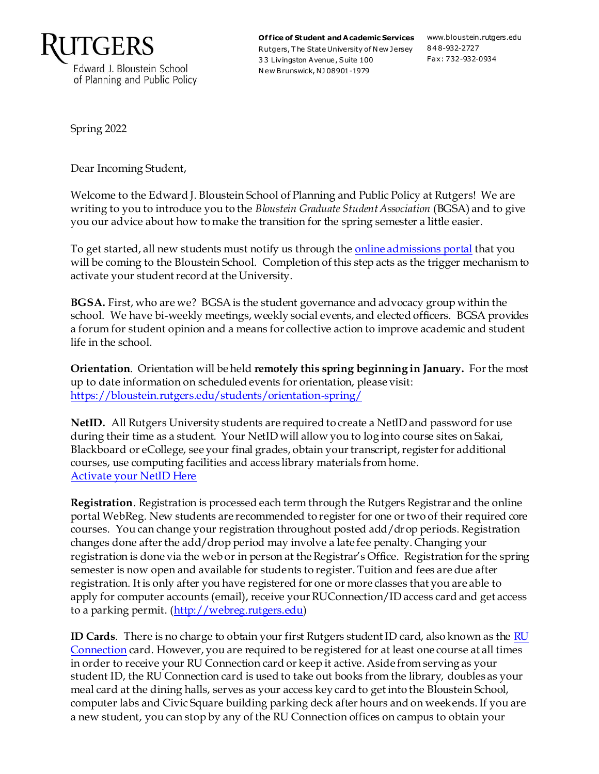

Office of Student and Academic Services www.bloustein.rutgers.edu Rutgers, T he State University of N ew Jersey 848-932-2727 3 3 Livingston Avenue, Suite 100 N ew Brunswick, NJ 08901-1979

Fax: 732-932-0934

Spring 2022

Dear Incoming Student,

Welcome to the Edward J. Bloustein School of Planning and Public Policy at Rutgers! We are writing to you to introduce you to the *Bloustein Graduate Student Association* (BGSA) and to give you our advice about how to make the transition for the spring semester a little easier.

To get started, all new students must notify us through the online [admissions portal](https://rutgers.force.com/ApplicantPortal/AppPortalCustom) that you will be coming to the Bloustein School. Completion of this step acts as the trigger mechanism to activate your student record at the University.

**BGSA.** First, who are we? BGSAis the student governance and advocacy group within the school. We have bi-weekly meetings, weekly social events, and elected officers. BGSA provides a forum for student opinion and a means for collective action to improve academic and student life in the school.

**Orientation**. Orientation will be held **remotely this spring beginning in January.** For the most up to date information on scheduled events for orientation, please visit: <https://bloustein.rutgers.edu/students/orientation-spring/>

**NetID.** All Rutgers University students are required to create a NetID and password for use during their time as a student. Your NetID will allow you to log into course sites on Sakai, Blackboard or eCollege, see your final grades, obtain your transcript, register for additional courses, use computing facilities and access library materials from home. [Activate your NetID Here](https://netid.rutgers.edu/activateNetId.htm)

**Registration**. Registration is processed each term through the Rutgers Registrar and the online portal WebReg. New students are recommended to register for one or two of their required core courses. You can change your registration throughout posted add/drop periods. Registration changes done after the add/drop period may involve a late fee penalty. Changing your registration is done via the web or in person at the Registrar's Office. Registration for the spring semester is now open and available for students to register. Tuition and fees are due after registration. It is only after you have registered for one or more classes that you are able to apply for computer accounts (email), receive your RUConnection/ID access card and get access to a parking permit. [\(http://webreg.rutgers.edu](http://webreg.rutgers.edu/))

**ID Cards**. There is no charge to obtain your first Rutgers student ID card, also known as th[e RU](https://ipo.rutgers.edu/publicsafety/id-location)  [Connection](https://ipo.rutgers.edu/publicsafety/id-location) card. However, you are required to be registered for at least one course at all times in order to receive your RU Connection card or keep it active. Aside from serving as your student ID, the RU Connection card is used to take out books from the library, doubles as your meal card at the dining halls, serves as your access key card to get into the Bloustein School, computer labs and Civic Square building parking deck after hours and on weekends. If you are a new student, you can stop by any of the RU Connection offices on campus to obtain your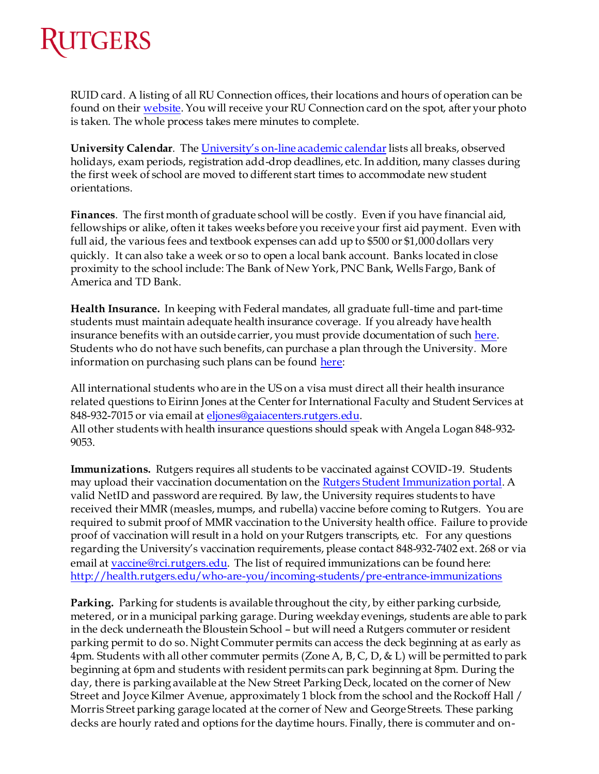

RUID card. A listing of all RU Connection offices, their locations and hours of operation can be found on thei[r website](https://ipo.rutgers.edu/publicsafety/id-location). You will receive your RU Connection card on the spot, after your photo is taken. The whole process takes mere minutes to complete.

**University Calendar**. The University's on[-line academic calendar](https://scheduling.rutgers.edu/scheduling/academic-calendar)lists all breaks, observed holidays, exam periods, registration add-drop deadlines, etc. In addition, many classes during the first week of school are moved to different start times to accommodate new student orientations.

**Finances**. The first month of graduate school will be costly. Even if you have financial aid, fellowships or alike, often it takes weeks before you receive your first aid payment. Even with full aid, the various fees and textbook expenses can add up to \$500 or \$1,000 dollars very quickly. It can also take a week or so to open a local bank account. Banks located in close proximity to the school include: The Bank of New York, PNC Bank, Wells Fargo, Bank of America and TD Bank.

**Health Insurance.** In keeping with Federal mandates, all graduate full-time and part-time students must maintain adequate health insurance coverage. If you already have health insurance benefits with an outside carrier, you must provide documentation of suc[h here](http://health.rutgers.edu/services-and-costs/health-insurance-hard-waiver-system). Students who do not have such benefits, can purchase a plan through the University. More information on purchasing such plans can be foun[d here](http://health.rutgers.edu/services-and-costs/eligibility-fees-for-using-health-services-on-camp):

All international students who are in the US on a visa must direct all their health insurance related questions to Eirinn Jones at the Center for International Faculty and Student Services at 848-932-7015 or via email a[t eljones@gaiacenters.rutgers.edu](mailto:eljones@gaiacenters.rutgers.edu). All other students with health insurance questions should speak with Angela Logan 848-932- 9053.

**Immunizations.** Rutgers requires all students to be vaccinated against COVID-19. Students may upload their vaccination documentation on the **Rutgers Student Immunization portal**. A valid NetID and password are required. By law, the University requires students to have received their MMR (measles, mumps, and rubella) vaccine before coming to Rutgers. You are required to submit proof of MMR vaccination to the University health office. Failure to provide proof of vaccination will result in a hold on your Rutgers transcripts, etc. For any questions regarding the University's vaccination requirements, please contact 848-932-7402 ext. 268 or via email at [vaccine@rci.rutgers.edu](mailto:vaccine@rci.rutgers.edu). The list of required immunizations can be found here: <http://health.rutgers.edu/who-are-you/incoming-students/pre-entrance-immunizations>

**Parking.** Parking for students is available throughout the city, by either parking curbside, metered, or in a municipal parking garage. During weekday evenings, students are able to park in the deck underneath the Bloustein School – but will need a Rutgers commuter or resident parking permit to do so. Night Commuter permits can access the deck beginning at as early as 4pm. Students with all other commuter permits (Zone A, B, C, D, & L) will be permitted to park beginning at 6pm and students with resident permits can park beginning at 8pm. During the day, there is parking available at the New Street Parking Deck, located on the corner of New Street and Joyce Kilmer Avenue, approximately 1 block from the school and the Rockoff Hall / Morris Street parking garage located at the corner of New and George Streets. These parking decks are hourly rated and options for the daytime hours. Finally, there is commuter and on-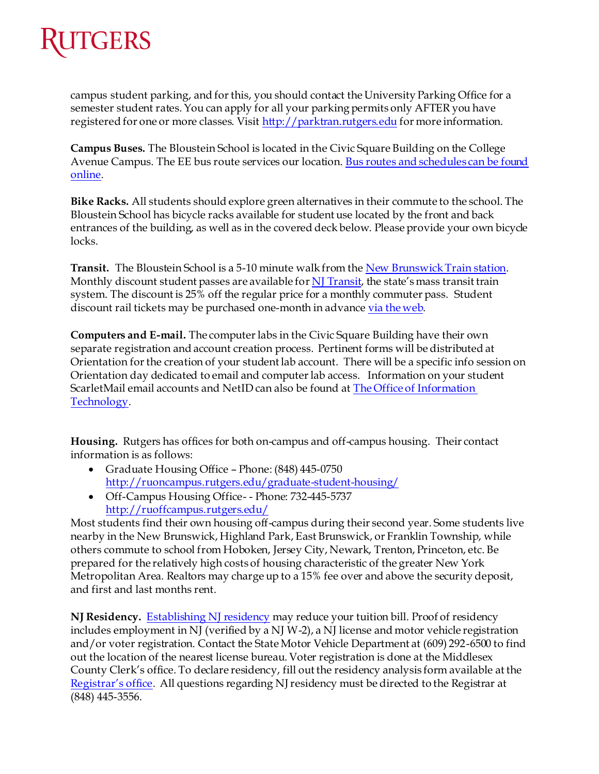

campus student parking, and for this, you should contact the University Parking Office for a semester student rates. You can apply for all your parking permits only AFTER you have registered for one or more classes. Visi[t http://parktran.rutgers.edu](http://parktran.rutgers.edu/) for more information.

**Campus Buses.** The Bloustein School is located in the Civic Square Building on the College Avenue Campus. The EE bus route services our location. Bus routes and schedules can be found [online.](http://rudots.rutgers.edu/campusbuses.shtml)

**Bike Racks.** All students should explore green alternatives in their commute to the school. The Bloustein School has bicycle racks available for student use located by the front and back entrances of the building, as well as in the covered deck below. Please provide your own bicycle locks.

Transit. The Bloustein School is a 5-10 minute walk from th[e New Brunswick Train station](http://www.amtrak.com/servlet/ContentServer?pagename=am/am2Station/Station_Page&code=NBK). Monthly discount student passes are available for  $N$ J Transit, the state's mass transit train system. The discount is 25% off the regular price for a monthly commuter pass. Student discount rail tickets may be purchased one-month in advanc[e via the web](https://ipo.rutgers.edu/dots/transit-discount).

**Computers and E-mail.** The computer labs in the Civic Square Building have their own separate registration and account creation process. Pertinent forms will be distributed at Orientation for the creation of your student lab account. There will be a specific info session on Orientation day dedicated to email and computer lab access. Information on your student ScarletMail email accounts and NetID can also be found a[t The Office of Information](https://oit-nb.rutgers.edu/documentation/scarletmail/setting-scarletmail-use-your-official-rutgers-email-address)  [Technology](https://oit-nb.rutgers.edu/documentation/scarletmail/setting-scarletmail-use-your-official-rutgers-email-address).

**Housing.** Rutgers has offices for both on-campus and off-campus housing. Their contact information is as follows:

- Graduate Housing Office Phone: (848) 445-0750 <http://ruoncampus.rutgers.edu/graduate-student-housing/>
- Off-Campus Housing Office- Phone: 732-445-5737 <http://ruoffcampus.rutgers.edu/>

Most students find their own housing off-campus during their second year. Some students live nearby in the New Brunswick, Highland Park, East Brunswick, or Franklin Township, while others commute to school from Hoboken, Jersey City, Newark, Trenton, Princeton, etc. Be prepared for the relatively high costs of housing characteristic of the greater New York Metropolitan Area. Realtors may charge up to a 15% fee over and above the security deposit, and first and last months rent.

**NJ Residency.** [Establishing NJ residency](http://nbregistrar.rutgers.edu/grad/residency.htm) may reduce your tuition bill. Proof of residency includes employment in NJ (verified by a NJ W-2), a NJ license and motor vehicle registration and/or voter registration. Contact the State Motor Vehicle Department at (609) 292-6500 to find out the location of the nearest license bureau. Voter registration is done at the Middlesex County Clerk's office. To declare residency, fill out the residency analysis form available at the [Registrar's office](https://nbregistrar.rutgers.edu/grad/index.htm). All questions regarding NJ residency must be directed to the Registrar at (848) 445-3556.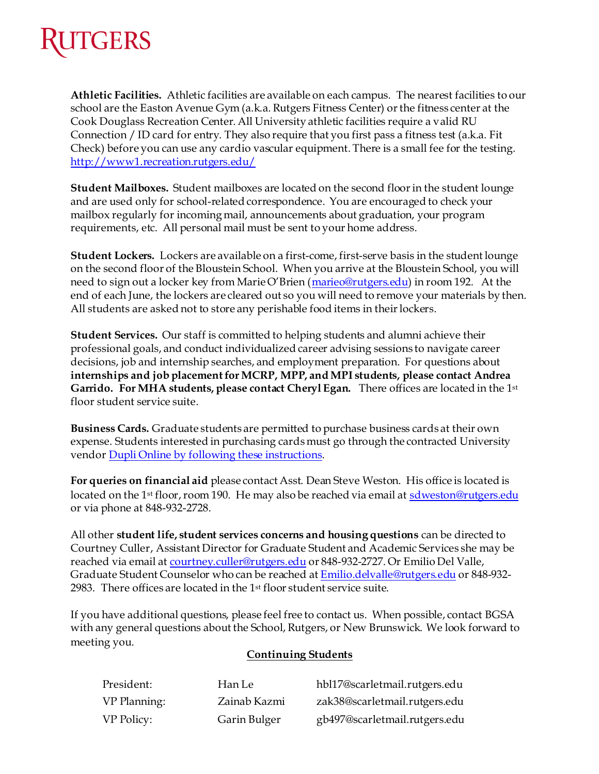## **KUTGERS**

**Athletic Facilities.** Athletic facilities are available on each campus. The nearest facilities to our school are the Easton Avenue Gym (a.k.a. Rutgers Fitness Center) or the fitness center at the Cook Douglass Recreation Center. All University athletic facilities require a valid RU Connection / ID card for entry. They also require that you first pass a fitness test (a.k.a. Fit Check) before you can use any cardio vascular equipment. There is a small fee for the testing. <http://www1.recreation.rutgers.edu/>

**Student Mailboxes.** Student mailboxes are located on the second floor in the student lounge and are used only for school-related correspondence. You are encouraged to check your mailbox regularly for incoming mail, announcements about graduation, your program requirements, etc. All personal mail must be sent to your home address.

**Student Lockers.** Lockers are available on a first-come, first-serve basis in the student lounge on the second floor of the Bloustein School. When you arrive at the Bloustein School, you will need to sign out a locker key from Marie O'Brien ([marieo@rutgers.edu](mailto:marieo@rutgers.edu)) in room 192. At the end of each June, the lockers are cleared out so you will need to remove your materials by then. All students are asked not to store any perishable food items in their lockers.

**Student Services.** Our staff is committed to helping students and alumni achieve their professional goals, and conduct individualized career advising sessions to navigate career decisions, job and internship searches, and employment preparation. For questions about internships and job placement for MCRP, MPP, and MPI students, please contact Andrea Garrido. For MHA students, please contact Cheryl Egan. There offices are located in the 1st floor student service suite.

**Business Cards.** Graduate students are permitted to purchase business cards at their own expense. Students interested in purchasing cards must go through the contracted University vendo[r Dupli Online by following these instructions](http://bloustein.rutgers.edu/wp-content/uploads/2014/07/Instructions-for-Student-Business-Cards.pdf).

**For queries on financial aid** please contact Asst. Dean Steve Weston. His office is located is located on the 1<sup>st</sup> floor, room 190. He may also be reached via email a[t sdweston@rutgers.edu](mailto:sdweston@rutgers.edu) or via phone at 848-932-2728.

All other **student life, student services concerns and housing questions** can be directed to Courtney Culler, Assistant Director for Graduate Student and Academic Services she may be reached via email at [courtney.culler@rutgers.edu](mailto:courtney.culler@rutgers.edu) or 848-932-2727. Or Emilio Del Valle, Graduate Student Counselor who can be reached a[t Emilio.delvalle@rutgers.edu](mailto:Emilio.delvalle@rutgers.edu) or 848-932- 2983. There offices are located in the 1st floor student service suite.

If you have additional questions, please feel free to contact us. When possible, contact BGSA with any general questions about the School, Rutgers, or New Brunswick. We look forward to meeting you.

## **Continuing Students**

| President:        | Han Le       | hbl17@scarletmail.rutgers.edu |
|-------------------|--------------|-------------------------------|
| VP Planning:      | Zainab Kazmi | zak38@scarletmail.rutgers.edu |
| <b>VP Policy:</b> | Garin Bulger | gb497@scarletmail.rutgers.edu |